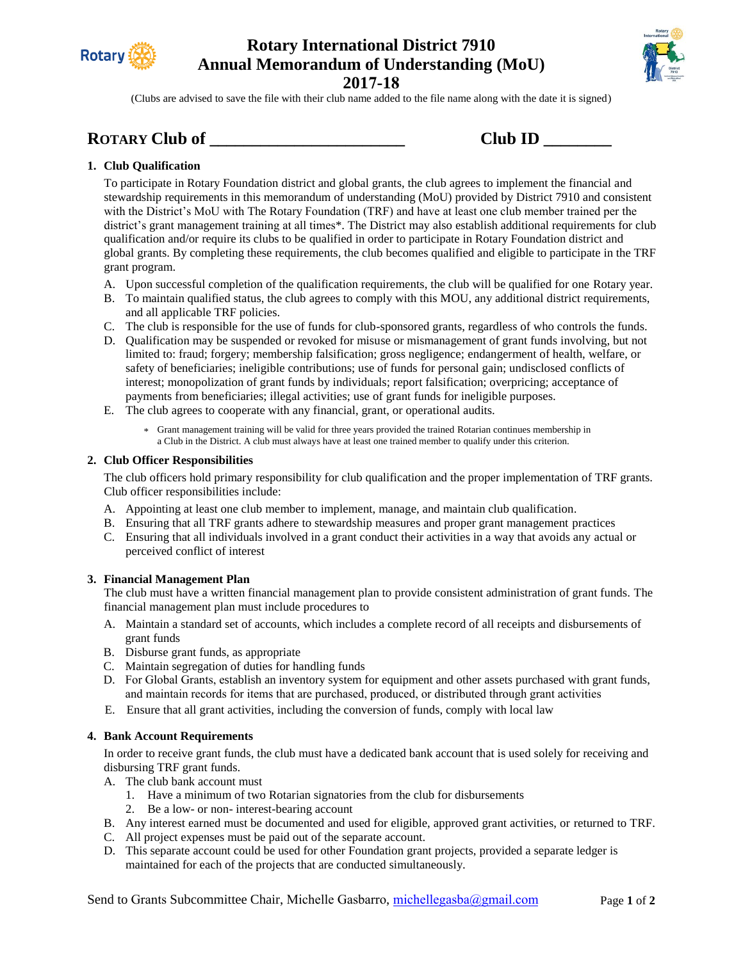

# **Rotary International District 7910 Annual Memorandum of Understanding (MoU)**



**2017-18**

(Clubs are advised to save the file with their club name added to the file name along with the date it is signed)

### **ROTARY Club of \_\_\_\_\_\_\_\_\_\_\_\_\_\_\_\_\_\_\_\_\_\_\_ Club ID \_\_\_\_\_\_\_\_**

| Club ID |  |
|---------|--|
|         |  |

### **1. Club Qualification**

To participate in Rotary Foundation district and global grants, the club agrees to implement the financial and stewardship requirements in this memorandum of understanding (MoU) provided by District 7910 and consistent with the District's MoU with The Rotary Foundation (TRF) and have at least one club member trained per the district's grant management training at all times\*. The District may also establish additional requirements for club qualification and/or require its clubs to be qualified in order to participate in Rotary Foundation district and global grants. By completing these requirements, the club becomes qualified and eligible to participate in the TRF grant program.

- A. Upon successful completion of the qualification requirements, the club will be qualified for one Rotary year.
- B. To maintain qualified status, the club agrees to comply with this MOU, any additional district requirements, and all applicable TRF policies.
- C. The club is responsible for the use of funds for club-sponsored grants, regardless of who controls the funds.
- D. Qualification may be suspended or revoked for misuse or mismanagement of grant funds involving, but not limited to: fraud; forgery; membership falsification; gross negligence; endangerment of health, welfare, or safety of beneficiaries; ineligible contributions; use of funds for personal gain; undisclosed conflicts of interest; monopolization of grant funds by individuals; report falsification; overpricing; acceptance of payments from beneficiaries; illegal activities; use of grant funds for ineligible purposes.
- E. The club agrees to cooperate with any financial, grant, or operational audits.
	- \* Grant management training will be valid for three years provided the trained Rotarian continues membership in a Club in the District. A club must always have at least one trained member to qualify under this criterion.

### **2. Club Officer Responsibilities**

The club officers hold primary responsibility for club qualification and the proper implementation of TRF grants. Club officer responsibilities include:

- A. Appointing at least one club member to implement, manage, and maintain club qualification.
- B. Ensuring that all TRF grants adhere to stewardship measures and proper grant management practices
- C. Ensuring that all individuals involved in a grant conduct their activities in a way that avoids any actual or perceived conflict of interest

### **3. Financial Management Plan**

The club must have a written financial management plan to provide consistent administration of grant funds. The financial management plan must include procedures to

- A. Maintain a standard set of accounts, which includes a complete record of all receipts and disbursements of grant funds
- B. Disburse grant funds, as appropriate
- C. Maintain segregation of duties for handling funds
- D. For Global Grants, establish an inventory system for equipment and other assets purchased with grant funds, and maintain records for items that are purchased, produced, or distributed through grant activities
- E. Ensure that all grant activities, including the conversion of funds, comply with local law

### **4. Bank Account Requirements**

In order to receive grant funds, the club must have a dedicated bank account that is used solely for receiving and disbursing TRF grant funds.

- A. The club bank account must
	- 1. Have a minimum of two Rotarian signatories from the club for disbursements
	- 2. Be a low- or non- interest-bearing account
- B. Any interest earned must be documented and used for eligible, approved grant activities, or returned to TRF.
- C. All project expenses must be paid out of the separate account.
- D. This separate account could be used for other Foundation grant projects, provided a separate ledger is maintained for each of the projects that are conducted simultaneously.